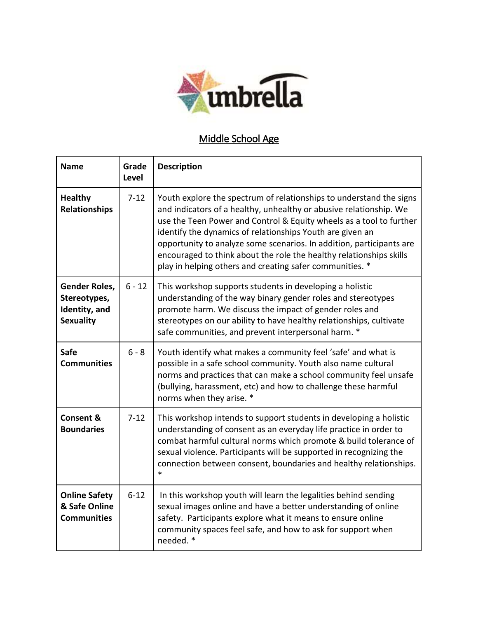

## Middle School Age

| <b>Name</b>                                                               | Grade<br><b>Level</b> | <b>Description</b>                                                                                                                                                                                                                                                                                                                                                                                                                                                                       |
|---------------------------------------------------------------------------|-----------------------|------------------------------------------------------------------------------------------------------------------------------------------------------------------------------------------------------------------------------------------------------------------------------------------------------------------------------------------------------------------------------------------------------------------------------------------------------------------------------------------|
| <b>Healthy</b><br><b>Relationships</b>                                    | $7 - 12$              | Youth explore the spectrum of relationships to understand the signs<br>and indicators of a healthy, unhealthy or abusive relationship. We<br>use the Teen Power and Control & Equity wheels as a tool to further<br>identify the dynamics of relationships Youth are given an<br>opportunity to analyze some scenarios. In addition, participants are<br>encouraged to think about the role the healthy relationships skills<br>play in helping others and creating safer communities. * |
| <b>Gender Roles,</b><br>Stereotypes,<br>Identity, and<br><b>Sexuality</b> | $6 - 12$              | This workshop supports students in developing a holistic<br>understanding of the way binary gender roles and stereotypes<br>promote harm. We discuss the impact of gender roles and<br>stereotypes on our ability to have healthy relationships, cultivate<br>safe communities, and prevent interpersonal harm. *                                                                                                                                                                        |
| <b>Safe</b><br><b>Communities</b>                                         | $6 - 8$               | Youth identify what makes a community feel 'safe' and what is<br>possible in a safe school community. Youth also name cultural<br>norms and practices that can make a school community feel unsafe<br>(bullying, harassment, etc) and how to challenge these harmful<br>norms when they arise. *                                                                                                                                                                                         |
| <b>Consent &amp;</b><br><b>Boundaries</b>                                 | $7-12$                | This workshop intends to support students in developing a holistic<br>understanding of consent as an everyday life practice in order to<br>combat harmful cultural norms which promote & build tolerance of<br>sexual violence. Participants will be supported in recognizing the<br>connection between consent, boundaries and healthy relationships.<br>$\ast$                                                                                                                         |
| <b>Online Safety</b><br>& Safe Online<br><b>Communities</b>               | $6 - 12$              | In this workshop youth will learn the legalities behind sending<br>sexual images online and have a better understanding of online<br>safety. Participants explore what it means to ensure online<br>community spaces feel safe, and how to ask for support when<br>needed. *                                                                                                                                                                                                             |